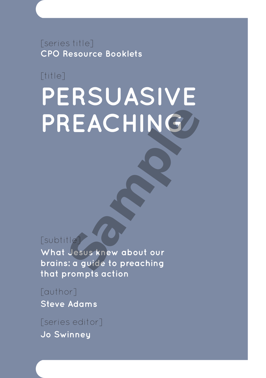[series title] **CPO Resource Booklets**

[title]

# **PERSUASIVE PREACHING**

[subtitle]

**What Jesus knew about our brains: a guide to preaching that prompts action** 

[author] **Steve Adams**

[series editor] **Jo Swinney**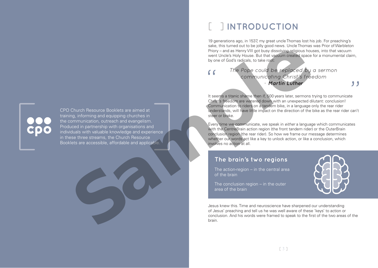CPO Church Resource Booklets are aimed at training, informing and equipping churches in the communication, outreach and evangelism. Produced in partnership with organisations and individuals with valuable knowledge and experience in these three streams, the Church Resource<br>Booklets are accessible, affordable and applicable From a state in the state of the brain in the control of the brain is the state of the brain in the state of the brain is the control of the brain in the control of the brain is the control of the brain in the control of t

# [ ] **INTRODUCTION**

19 generations ago, in 1537, my great uncle Thomas lost his job. For preaching's sake, this turned out to be jolly good news. Uncle Thomas was Prior of Warbleton Priory – and as Henry VIII got busy dissolving religious houses, into that vacuum went Uncle's Holy House. But that vacuum created space for a monumental claim, by one of God's radicals, to take root:

### *The Pope could be replaced by a sermon communicating Christ's freedom - Martin Luther*

It seems a titanic shame then if, 500 years later, sermons trying to communicate Christ's freedom are watered down with an unexpected dilutant: conclusion! Communication to riders on a tandem bike, in a language only the rear rider understands, will have little impact on the direction of the bike as the rear rider can't steer or brake.

Every time we communicate, we speak in either a language which communicates with the CentreBrain action region (the front tandem rider) or the OuterBrain conclusion region (the rear rider). So how we frame our message determines whether our words act like a key to unlock action, or like a conclusion, which involves no action at all.

### **The brain's two regions**

The action-region – in the central area of the brain

The conclusion region – in the outer area of the brain

,,

Jesus knew this. Time and neuroscience have sharpened our understanding of Jesus' preaching and tell us he was well aware of these 'keys' to action or conclusion. And his words were framed to speak to the first of the two areas of the brain.